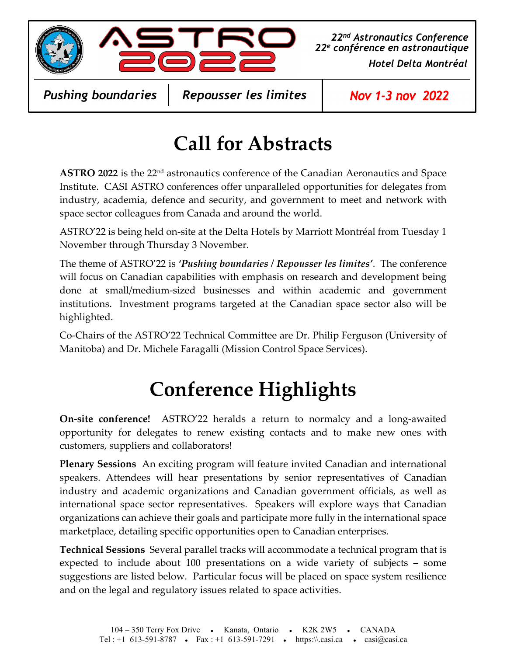



Hotel Delta Montréal 22nd Astronautics Conference 22e conférence en astronautique

Pushing boundaries

Repousser les limites | Nov 1-3 nov 2022

#### Call for Abstracts

ASTRO 2022 is the 22<sup>nd</sup> astronautics conference of the Canadian Aeronautics and Space Institute. CASI ASTRO conferences offer unparalleled opportunities for delegates from industry, academia, defence and security, and government to meet and network with space sector colleagues from Canada and around the world.

ASTRO'22 is being held on-site at the Delta Hotels by Marriott Montréal from Tuesday 1 November through Thursday 3 November.

The theme of ASTRO'22 is 'Pushing boundaries / Repousser les limites'. The conference will focus on Canadian capabilities with emphasis on research and development being done at small/medium-sized businesses and within academic and government institutions. Investment programs targeted at the Canadian space sector also will be highlighted.

Co-Chairs of the ASTRO'22 Technical Committee are Dr. Philip Ferguson (University of Manitoba) and Dr. Michele Faragalli (Mission Control Space Services).

# Conference Highlights

On-site conference! ASTRO'22 heralds a return to normalcy and a long-awaited opportunity for delegates to renew existing contacts and to make new ones with customers, suppliers and collaborators!

Plenary Sessions An exciting program will feature invited Canadian and international speakers. Attendees will hear presentations by senior representatives of Canadian industry and academic organizations and Canadian government officials, as well as international space sector representatives. Speakers will explore ways that Canadian organizations can achieve their goals and participate more fully in the international space marketplace, detailing specific opportunities open to Canadian enterprises.

Technical Sessions Several parallel tracks will accommodate a technical program that is expected to include about 100 presentations on a wide variety of subjects – some suggestions are listed below. Particular focus will be placed on space system resilience and on the legal and regulatory issues related to space activities.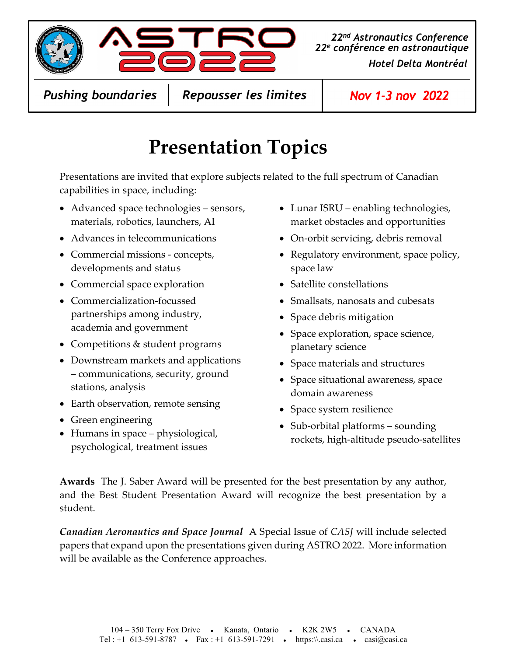

Hotel Delta Montréal 22<sup>nd</sup> Astronautics Conference | 22e conférence en astronautique

Pushing boundaries

Repousser les limites | Nov 1-3 nov 2022

## Presentation Topics

Presentations are invited that explore subjects related to the full spectrum of Canadian capabilities in space, including:

- Advanced space technologies sensors, materials, robotics, launchers, AI
- Advances in telecommunications
- Commercial missions concepts, developments and status
- Commercial space exploration
- Commercialization-focussed partnerships among industry, academia and government
- Competitions & student programs
- Downstream markets and applications – communications, security, ground stations, analysis
- Earth observation, remote sensing
- Green engineering
- Humans in space physiological, psychological, treatment issues
- Lunar ISRU enabling technologies, market obstacles and opportunities
- On-orbit servicing, debris removal
- Regulatory environment, space policy, space law
- Satellite constellations
- Smallsats, nanosats and cubesats
- Space debris mitigation
- Space exploration, space science, planetary science
- Space materials and structures
- Space situational awareness, space domain awareness
- Space system resilience
- Sub-orbital platforms sounding rockets, high-altitude pseudo-satellites

Awards The J. Saber Award will be presented for the best presentation by any author, and the Best Student Presentation Award will recognize the best presentation by a student.

Canadian Aeronautics and Space Journal A Special Issue of CASJ will include selected papers that expand upon the presentations given during ASTRO 2022. More information will be available as the Conference approaches.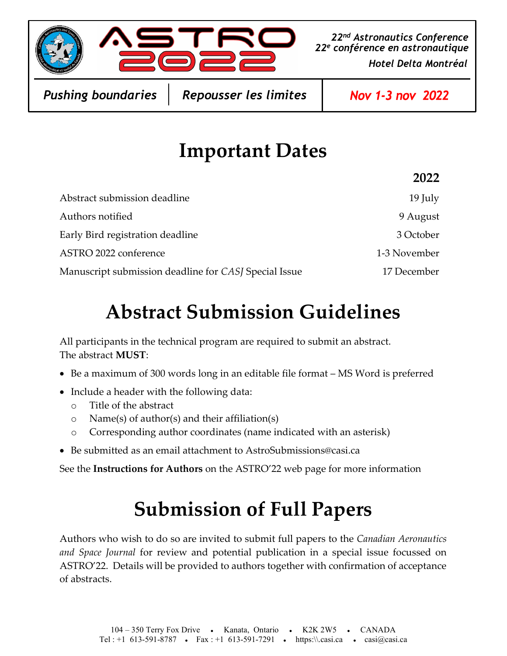

Hotel Delta Montréal 22<sup>nd</sup> Astronautics Conference 22e conférence en astronautique

Pushing boundaries

Repousser les limites | Nov 1-3 nov 2022

#### Important Dates

|                                                       | 2022         |
|-------------------------------------------------------|--------------|
| Abstract submission deadline                          | 19 July      |
| Authors notified                                      | 9 August     |
| Early Bird registration deadline                      | 3 October    |
| ASTRO 2022 conference                                 | 1-3 November |
| Manuscript submission deadline for CASJ Special Issue | 17 December  |

#### Abstract Submission Guidelines

All participants in the technical program are required to submit an abstract. The abstract MUST:

- Be a maximum of 300 words long in an editable file format MS Word is preferred
- Include a header with the following data:
	- o Title of the abstract
	- o Name(s) of author(s) and their affiliation(s)
	- o Corresponding author coordinates (name indicated with an asterisk)
- Be submitted as an email attachment to AstroSubmissions@casi.ca

See the Instructions for Authors on the ASTRO'22 web page for more information

## Submission of Full Papers

Authors who wish to do so are invited to submit full papers to the Canadian Aeronautics and Space Journal for review and potential publication in a special issue focussed on ASTRO'22. Details will be provided to authors together with confirmation of acceptance of abstracts.